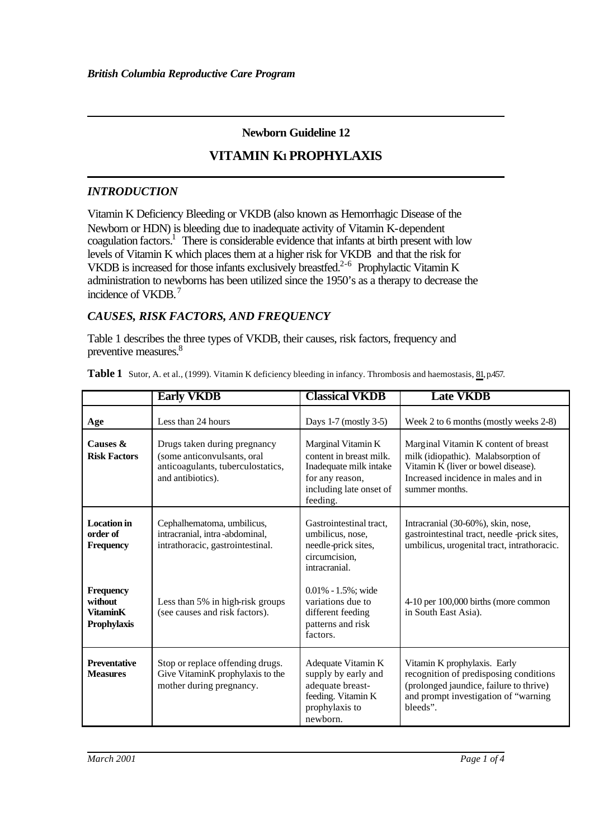## **Newborn Guideline 12**

# **VITAMIN K1 PROPHYLAXIS**

### *INTRODUCTION*

Vitamin K Deficiency Bleeding or VKDB (also known as Hemorrhagic Disease of the Newborn or HDN) is bleeding due to inadequate activity of Vitamin K-dependent coagulation factors.<sup>1</sup> There is considerable evidence that infants at birth present with low levels of Vitamin K which places them at a higher risk for VKDB and that the risk for VKDB is increased for those infants exclusively breastfed.<sup>2-6</sup> Prophylactic Vitamin K administration to newborns has been utilized since the 1950's as a therapy to decrease the incidence of VKDB.<sup>7</sup>

## *CAUSES, RISK FACTORS, AND FREQUENCY*

Table 1 describes the three types of VKDB, their causes, risk factors, frequency and preventive measures.<sup>8</sup>

|                                                               | <b>Early VKDB</b>                                                                                                     | <b>Classical VKDB</b>                                                                                                             | <b>Late VKDB</b>                                                                                                                                                            |
|---------------------------------------------------------------|-----------------------------------------------------------------------------------------------------------------------|-----------------------------------------------------------------------------------------------------------------------------------|-----------------------------------------------------------------------------------------------------------------------------------------------------------------------------|
| Age                                                           | Less than 24 hours                                                                                                    | Days 1-7 (mostly 3-5)                                                                                                             | Week 2 to 6 months (mostly weeks 2-8)                                                                                                                                       |
| Causes &<br><b>Risk Factors</b>                               | Drugs taken during pregnancy<br>(some anticonvulsants, oral<br>anticoagulants, tuberculostatics,<br>and antibiotics). | Marginal Vitamin K<br>content in breast milk.<br>Inadequate milk intake<br>for any reason,<br>including late onset of<br>feeding. | Marginal Vitamin K content of breast<br>milk (idiopathic). Malabsorption of<br>Vitamin K (liver or bowel disease).<br>Increased incidence in males and in<br>summer months. |
| <b>Location</b> in<br>order of<br><b>Frequency</b>            | Cephalhematoma, umbilicus,<br>intracranial, intra-abdominal,<br>intrathoracic, gastrointestinal.                      | Gastrointestinal tract.<br>umbilicus, nose,<br>needle-prick sites,<br>circumcision,<br>intracranial.                              | Intracranial (30-60%), skin, nose,<br>gastrointestinal tract, needle -prick sites,<br>umbilicus, urogenital tract, intrathoracic.                                           |
| <b>Frequency</b><br>without<br><b>VitaminK</b><br>Prophylaxis | Less than 5% in high-risk groups<br>(see causes and risk factors).                                                    | $0.01\% - 1.5\%$ ; wide<br>variations due to<br>different feeding<br>patterns and risk<br>factors.                                | 4-10 per 100,000 births (more common<br>in South East Asia).                                                                                                                |
| <b>Preventative</b><br><b>Measures</b>                        | Stop or replace offending drugs.<br>Give VitaminK prophylaxis to the<br>mother during pregnancy.                      | Adequate Vitamin K<br>supply by early and<br>adequate breast-<br>feeding. Vitamin K<br>prophylaxis to<br>newborn.                 | Vitamin K prophylaxis. Early<br>recognition of predisposing conditions<br>(prolonged jaundice, failure to thrive)<br>and prompt investigation of "warning<br>bleeds".       |

Table 1 Sutor, A. et al., (1999). Vitamin K deficiency bleeding in infancy. Thrombosis and haemostasis, 81, p.457.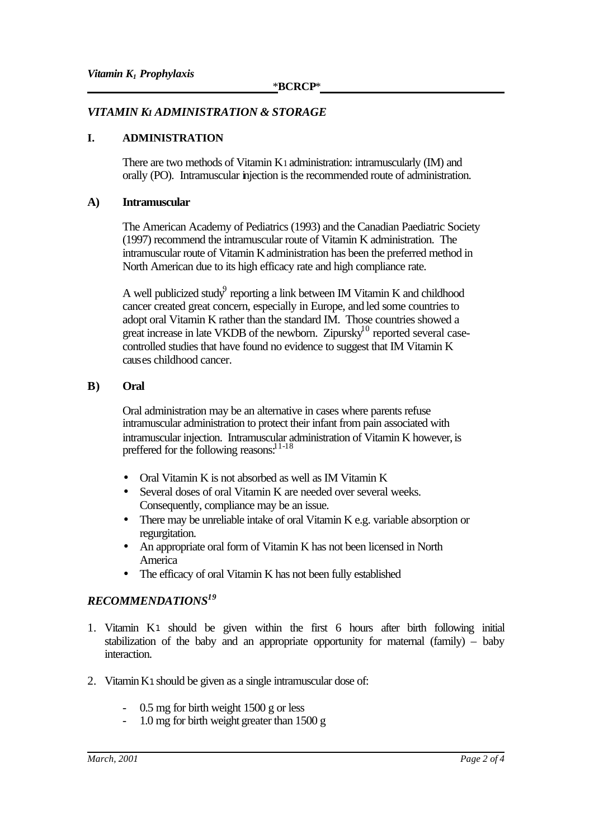## *VITAMIN K1 ADMINISTRATION & STORAGE*

#### **I. ADMINISTRATION**

There are two methods of Vitamin K1 administration: intramuscularly (IM) and orally (PO). Intramuscular injection is the recommended route of administration.

#### **A) Intramuscular**

The American Academy of Pediatrics (1993) and the Canadian Paediatric Society (1997) recommend the intramuscular route of Vitamin K administration. The intramuscular route of Vitamin K administration has been the preferred method in North American due to its high efficacy rate and high compliance rate.

A well publicized study reporting a link between IM Vitamin K and childhood cancer created great concern, especially in Europe, and led some countries to adopt oral Vitamin K rather than the standard IM. Those countries showed a great increase in late VKDB of the newborn. Zipursky<sup>10</sup> reported several casecontrolled studies that have found no evidence to suggest that IM Vitamin K causes childhood cancer.

#### **B) Oral**

Oral administration may be an alternative in cases where parents refuse intramuscular administration to protect their infant from pain associated with intramuscular injection. Intramuscular administration of Vitamin K however, is preffered for the following reasons.<sup>11-18</sup>

- Oral Vitamin K is not absorbed as well as IM Vitamin K
- Several doses of oral Vitamin K are needed over several weeks. Consequently, compliance may be an issue.
- There may be unreliable intake of oral Vitamin K e.g. variable absorption or regurgitation.
- An appropriate oral form of Vitamin K has not been licensed in North America
- The efficacy of oral Vitamin K has not been fully established

## *RECOMMENDATIONS<sup>19</sup>*

- 1. Vitamin K<sup>1</sup> should be given within the first 6 hours after birth following initial stabilization of the baby and an appropriate opportunity for maternal (family) – baby interaction.
- 2. Vitamin K<sup>1</sup> should be given as a single intramuscular dose of:
	- $0.5$  mg for birth weight 1500 g or less
	- 1.0 mg for birth weight greater than 1500 g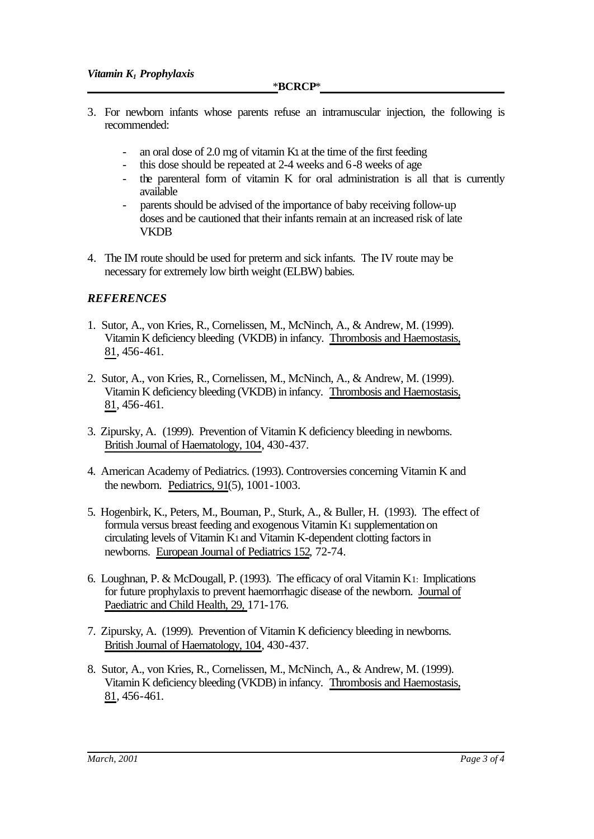\***BCRCP**\*

- 3. For newborn infants whose parents refuse an intramuscular injection, the following is recommended:
	- an oral dose of 2.0 mg of vitamin K<sub>1</sub> at the time of the first feeding
	- this dose should be repeated at 2-4 weeks and 6-8 weeks of age
	- the parenteral form of vitamin K for oral administration is all that is currently available
	- parents should be advised of the importance of baby receiving follow-up doses and be cautioned that their infants remain at an increased risk of late **VKDB**
- 4. The IM route should be used for preterm and sick infants. The IV route may be necessary for extremely low birth weight (ELBW) babies.

#### *REFERENCES*

- 1. Sutor, A., von Kries, R., Cornelissen, M., McNinch, A., & Andrew, M. (1999). Vitamin K deficiency bleeding (VKDB) in infancy. Thrombosis and Haemostasis, 81, 456-461.
- 2. Sutor, A., von Kries, R., Cornelissen, M., McNinch, A., & Andrew, M. (1999). Vitamin K deficiency bleeding (VKDB) in infancy. Thrombosis and Haemostasis, 81, 456-461.
- 3. Zipursky, A. (1999). Prevention of Vitamin K deficiency bleeding in newborns. British Journal of Haematology, 104, 430-437.
- 4. American Academy of Pediatrics. (1993). Controversies concerning Vitamin K and the newborn. Pediatrics, 91(5), 1001-1003.
- 5. Hogenbirk, K., Peters, M., Bouman, P., Sturk, A., & Buller, H. (1993). The effect of formula versus breast feeding and exogenous Vitamin K1 supplementation on circulating levels of Vitamin K1 and Vitamin K-dependent clotting factors in newborns. European Journal of Pediatrics 152, 72-74.
- 6. Loughnan, P. & McDougall, P. (1993). The efficacy of oral Vitamin K1: Implications for future prophylaxis to prevent haemorrhagic disease of the newborn. Journal of Paediatric and Child Health, 29, 171-176.
- 7. Zipursky, A. (1999). Prevention of Vitamin K deficiency bleeding in newborns. British Journal of Haematology, 104, 430-437.
- 8. Sutor, A., von Kries, R., Cornelissen, M., McNinch, A., & Andrew, M. (1999). Vitamin K deficiency bleeding (VKDB) in infancy. Thrombosis and Haemostasis, 81, 456-461.